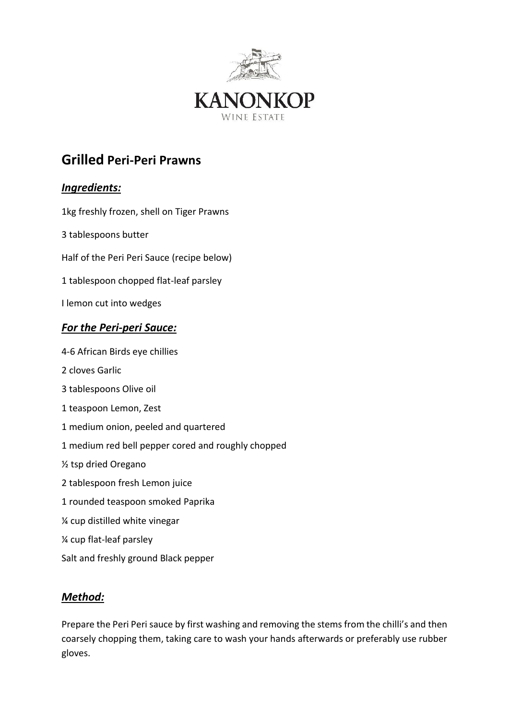

## **Grilled Peri-Peri Prawns**

## *Ingredients:*

- 1kg freshly frozen, shell on Tiger Prawns
- 3 tablespoons butter
- Half of the Peri Peri Sauce (recipe below)
- 1 tablespoon chopped flat-leaf parsley
- I lemon cut into wedges

## *For the Peri-peri Sauce:*

- 4-6 African Birds eye chillies
- 2 cloves Garlic
- 3 tablespoons Olive oil
- 1 teaspoon Lemon, Zest
- 1 medium onion, peeled and quartered
- 1 medium red bell pepper cored and roughly chopped
- ½ tsp dried Oregano
- 2 tablespoon fresh Lemon juice
- 1 rounded teaspoon smoked Paprika
- ¼ cup distilled white vinegar
- ¼ cup flat-leaf parsley
- Salt and freshly ground Black pepper

## *Method:*

Prepare the Peri Peri sauce by first washing and removing the stems from the chilli's and then coarsely chopping them, taking care to wash your hands afterwards or preferably use rubber gloves.